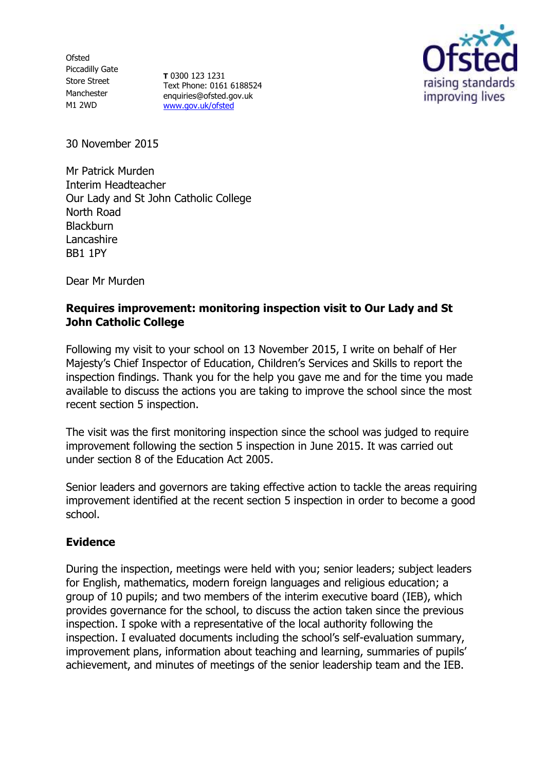**Ofsted** Piccadilly Gate Store Street Manchester M1 2WD

**T** 0300 123 1231 Text Phone: 0161 6188524 enquiries@ofsted.gov.uk [www.gov.uk/ofsted](http://www.gov.uk/ofsted)



30 November 2015

Mr Patrick Murden Interim Headteacher Our Lady and St John Catholic College North Road **Blackburn** Lancashire BB1 1PY

Dear Mr Murden

### **Requires improvement: monitoring inspection visit to Our Lady and St John Catholic College**

Following my visit to your school on 13 November 2015, I write on behalf of Her Majesty's Chief Inspector of Education, Children's Services and Skills to report the inspection findings. Thank you for the help you gave me and for the time you made available to discuss the actions you are taking to improve the school since the most recent section 5 inspection.

The visit was the first monitoring inspection since the school was judged to require improvement following the section 5 inspection in June 2015. It was carried out under section 8 of the Education Act 2005.

Senior leaders and governors are taking effective action to tackle the areas requiring improvement identified at the recent section 5 inspection in order to become a good school.

#### **Evidence**

During the inspection, meetings were held with you; senior leaders; subject leaders for English, mathematics, modern foreign languages and religious education; a group of 10 pupils; and two members of the interim executive board (IEB), which provides governance for the school, to discuss the action taken since the previous inspection. I spoke with a representative of the local authority following the inspection. I evaluated documents including the school's self-evaluation summary, improvement plans, information about teaching and learning, summaries of pupils' achievement, and minutes of meetings of the senior leadership team and the IEB.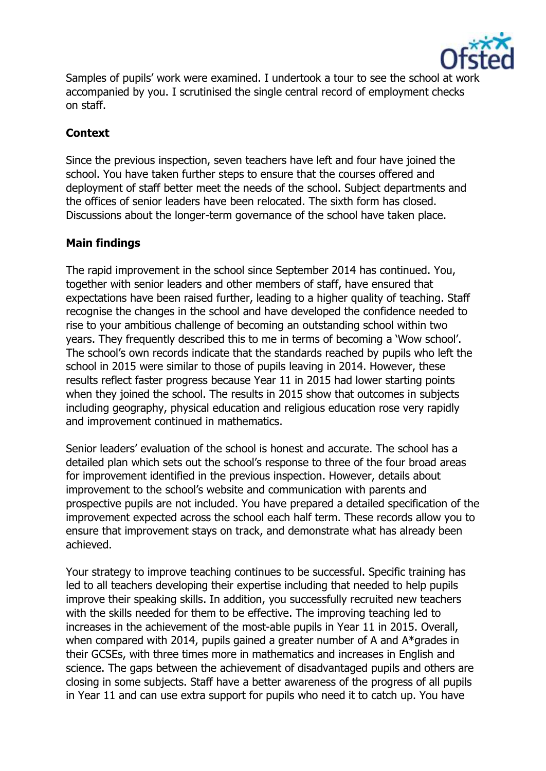

Samples of pupils' work were examined. I undertook a tour to see the school at work accompanied by you. I scrutinised the single central record of employment checks on staff.

# **Context**

Since the previous inspection, seven teachers have left and four have joined the school. You have taken further steps to ensure that the courses offered and deployment of staff better meet the needs of the school. Subject departments and the offices of senior leaders have been relocated. The sixth form has closed. Discussions about the longer-term governance of the school have taken place.

# **Main findings**

The rapid improvement in the school since September 2014 has continued. You, together with senior leaders and other members of staff, have ensured that expectations have been raised further, leading to a higher quality of teaching. Staff recognise the changes in the school and have developed the confidence needed to rise to your ambitious challenge of becoming an outstanding school within two years. They frequently described this to me in terms of becoming a 'Wow school'. The school's own records indicate that the standards reached by pupils who left the school in 2015 were similar to those of pupils leaving in 2014. However, these results reflect faster progress because Year 11 in 2015 had lower starting points when they joined the school. The results in 2015 show that outcomes in subjects including geography, physical education and religious education rose very rapidly and improvement continued in mathematics.

Senior leaders' evaluation of the school is honest and accurate. The school has a detailed plan which sets out the school's response to three of the four broad areas for improvement identified in the previous inspection. However, details about improvement to the school's website and communication with parents and prospective pupils are not included. You have prepared a detailed specification of the improvement expected across the school each half term. These records allow you to ensure that improvement stays on track, and demonstrate what has already been achieved.

Your strategy to improve teaching continues to be successful. Specific training has led to all teachers developing their expertise including that needed to help pupils improve their speaking skills. In addition, you successfully recruited new teachers with the skills needed for them to be effective. The improving teaching led to increases in the achievement of the most-able pupils in Year 11 in 2015. Overall, when compared with 2014, pupils gained a greater number of A and A\*grades in their GCSEs, with three times more in mathematics and increases in English and science. The gaps between the achievement of disadvantaged pupils and others are closing in some subjects. Staff have a better awareness of the progress of all pupils in Year 11 and can use extra support for pupils who need it to catch up. You have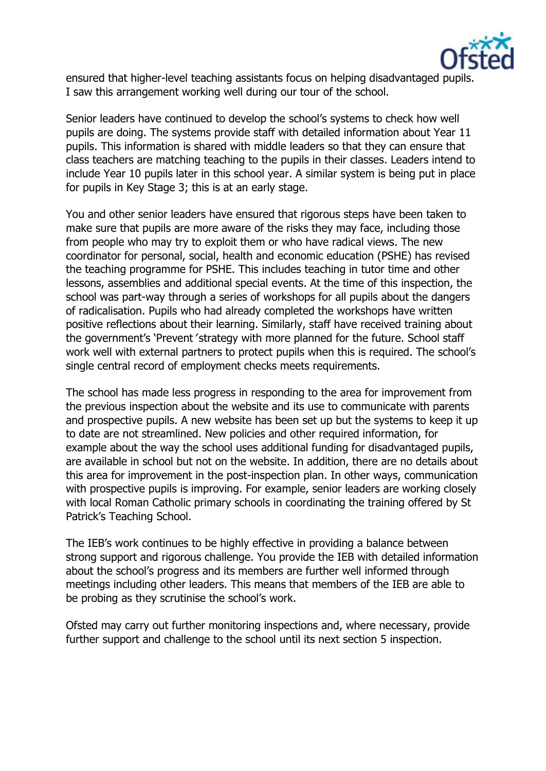

ensured that higher-level teaching assistants focus on helping disadvantaged pupils. I saw this arrangement working well during our tour of the school.

Senior leaders have continued to develop the school's systems to check how well pupils are doing. The systems provide staff with detailed information about Year 11 pupils. This information is shared with middle leaders so that they can ensure that class teachers are matching teaching to the pupils in their classes. Leaders intend to include Year 10 pupils later in this school year. A similar system is being put in place for pupils in Key Stage 3; this is at an early stage.

You and other senior leaders have ensured that rigorous steps have been taken to make sure that pupils are more aware of the risks they may face, including those from people who may try to exploit them or who have radical views. The new coordinator for personal, social, health and economic education (PSHE) has revised the teaching programme for PSHE. This includes teaching in tutor time and other lessons, assemblies and additional special events. At the time of this inspection, the school was part-way through a series of workshops for all pupils about the dangers of radicalisation. Pupils who had already completed the workshops have written positive reflections about their learning. Similarly, staff have received training about the government's 'Prevent 'strategy with more planned for the future. School staff work well with external partners to protect pupils when this is required. The school's single central record of employment checks meets requirements.

The school has made less progress in responding to the area for improvement from the previous inspection about the website and its use to communicate with parents and prospective pupils. A new website has been set up but the systems to keep it up to date are not streamlined. New policies and other required information, for example about the way the school uses additional funding for disadvantaged pupils, are available in school but not on the website. In addition, there are no details about this area for improvement in the post-inspection plan. In other ways, communication with prospective pupils is improving. For example, senior leaders are working closely with local Roman Catholic primary schools in coordinating the training offered by St Patrick's Teaching School.

The IEB's work continues to be highly effective in providing a balance between strong support and rigorous challenge. You provide the IEB with detailed information about the school's progress and its members are further well informed through meetings including other leaders. This means that members of the IEB are able to be probing as they scrutinise the school's work.

Ofsted may carry out further monitoring inspections and, where necessary, provide further support and challenge to the school until its next section 5 inspection.